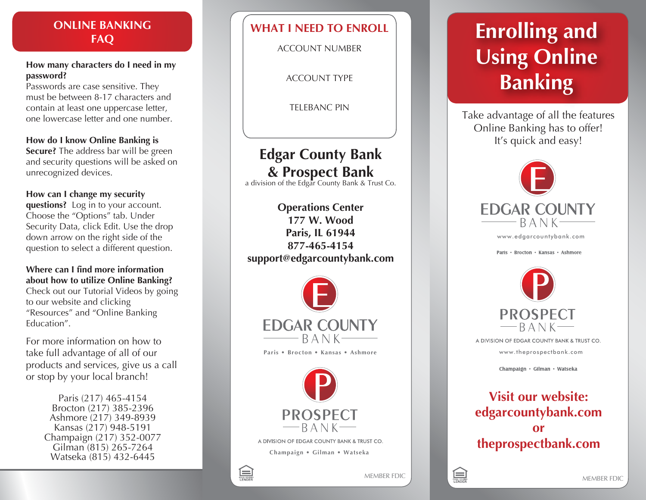## **ONLINE BANKING FAQ**

#### **How many characters do I need in my password?**

Passwords are case sensitive. They must be between 8-17 characters and contain at least one uppercase letter, one lowercase letter and one number.

### **How do I know Online Banking is**

**Secure?** The address bar will be green and security questions will be asked on unrecognized devices.

### **How can I change my security**

**questions?** Log in to your account. Choose the "Options" tab. Under Security Data, click Edit. Use the drop down arrow on the right side of the question to select a different question.

### **Where can I find more information about how to utilize Online Banking?**

Check out our Tutorial Videos by going to our website and clicking "Resources" and "Online Banking Education".

For more information on how to take full advantage of all of our products and services, give us a call or stop by your local branch!

> Paris (217) 465-4154 Brocton (217) 385-2396 Ashmore (217) 349-8939 Kansas (217) 948-5191 Champaign (217) 352-0077 Gilman (815) 265-7264 Watseka (815) 432-6445

# **WHAT I NEED TO ENROLL**

ACCOUNT NUMBER

ACCOUNT TYPE

TELEBANC PIN

# **Edgar County Bank & Prospect Bank** a division of the Edgar County Bank & Trust Co.

**Operations Center 177 W. Wood Paris, IL 61944 877-465-4154 support@edgarcountybank.com**





A DIVISION OF EDGAR COUNTY BANK & TRUST CO.

**Champaign • Gilman • Watseka**



# **Enrolling and Using Online Banking**

Take advantage of all the features Online Banking has to offer! It's quick and easy!



www.ed g arcou ntybank.co m

Paris • Brocton • Kansas • Ashmore



A DIVISION OF EDGAR COUNTY BANK & TRUST CO. www.thepr ospectbank.co m

Champaign • Gilman • Watseka

# **Visit our website: edgarcountybank.com or theprospectbank.com**